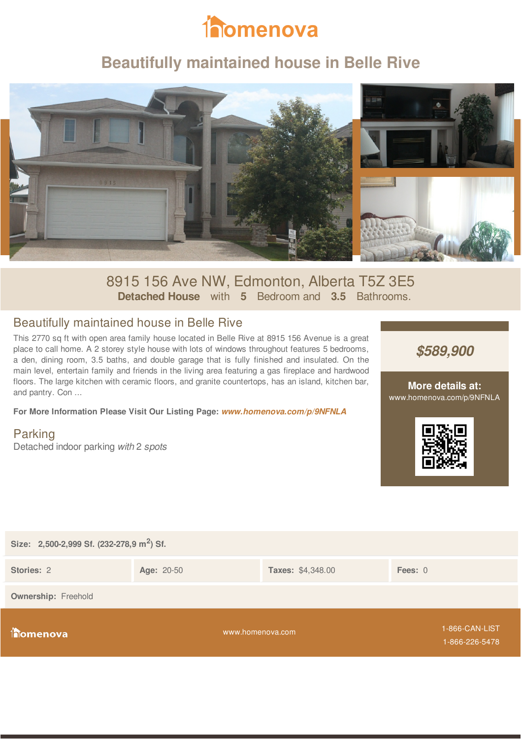

## **Beautifully maintained house in Belle Rive**



## 8915 156 Ave NW, Edmonton, Alberta T5Z 3E5 **Detached House** with **5** Bedroom and **3.5** Bathrooms.

### Beautifully maintained house in Belle Rive

This 2770 sq ft with open area family house located in Belle Rive at 8915 156 Avenue is a great place to call home. A 2 storey style house with lots of windows throughout features 5 bedrooms, a den, dining room, 3.5 baths, and double garage that is fully finished and insulated. On the main level, entertain family and friends in the living area featuring a gas fireplace and hardwood floors. The large kitchen with ceramic floors, and granite countertops, has an island, kitchen bar, and pantry. Con ...

**For More Information Please Visit Our Listing Page:** *www.homenova.com/p/9NFNLA*

Parking Detached indoor parking *with* 2 *spots*



#### **More details at:** www.homenova.com/p/9NFNLA



| Size: 2,500-2,999 Sf. (232-278,9 m <sup>2</sup> ) Sf. |            |                          |                                  |  |  |  |
|-------------------------------------------------------|------------|--------------------------|----------------------------------|--|--|--|
| Stories: 2                                            | Age: 20-50 | <b>Taxes: \$4,348.00</b> | Fees: $0$                        |  |  |  |
| <b>Ownership:</b> Freehold                            |            |                          |                                  |  |  |  |
| <b>Thomenova</b>                                      |            | www.homenova.com         | 1-866-CAN-LIST<br>1-866-226-5478 |  |  |  |